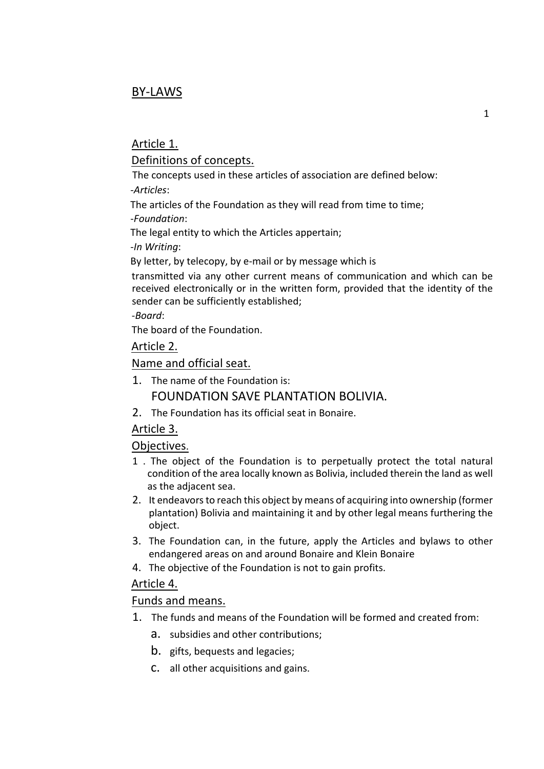# BY-LAWS

## Article 1.

## Definitions of concepts.

The concepts used in these articles of association are defined below: -*Articles*:

The articles of the Foundation as they will read from time to time;

-*Foundation*:

The legal entity to which the Articles appertain;

-*In Writing*:

By letter, by telecopy, by e-mail or by message which is

transmitted via any other current means of communication and which can be received electronically or in the written form, provided that the identity of the sender can be sufficiently established;

-*Board*:

The board of the Foundation.

Article 2.

### Name and official seat.

1. The name of the Foundation is:

## FOUNDATION SAVE PLANTATION BOLIVIA.

2. The Foundation has its official seat in Bonaire.

## Article 3.

### Objectives.

- 1 . The object of the Foundation is to perpetually protect the total natural condition of the area locally known as Bolivia, included therein the land as well as the adjacent sea.
- 2. It endeavors to reach this object by means of acquiring into ownership (former plantation) Bolivia and maintaining it and by other legal means furthering the object.
- 3. The Foundation can, in the future, apply the Articles and bylaws to other endangered areas on and around Bonaire and Klein Bonaire
- 4. The objective of the Foundation is not to gain profits.

### Article 4.

### Funds and means.

- 1. The funds and means of the Foundation will be formed and created from:
	- a. subsidies and other contributions;
	- b. gifts, bequests and legacies;
	- c. all other acquisitions and gains.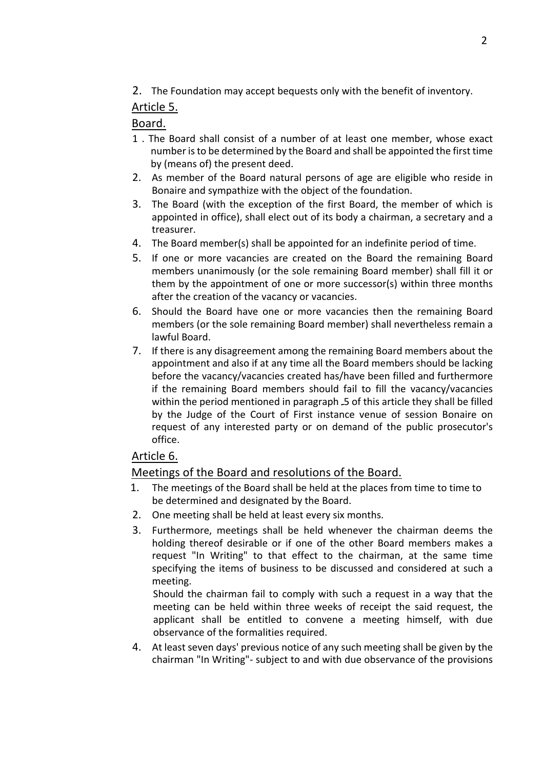2. The Foundation may accept bequests only with the benefit of inventory.

# Article 5.

## Board.

- 1 . The Board shall consist of a number of at least one member, whose exact number is to be determined by the Board and shall be appointed the first time by (means of) the present deed.
- 2. As member of the Board natural persons of age are eligible who reside in Bonaire and sympathize with the object of the foundation.
- 3. The Board (with the exception of the first Board, the member of which is appointed in office), shall elect out of its body a chairman, a secretary and a treasurer.
- 4. The Board member(s) shall be appointed for an indefinite period of time.
- 5. If one or more vacancies are created on the Board the remaining Board members unanimously (or the sole remaining Board member) shall fill it or them by the appointment of one or more successor(s) within three months after the creation of the vacancy or vacancies.
- 6. Should the Board have one or more vacancies then the remaining Board members (or the sole remaining Board member) shall nevertheless remain a lawful Board.
- 7. If there is any disagreement among the remaining Board members about the appointment and also if at any time all the Board members should be lacking before the vacancy/vacancies created has/have been filled and furthermore if the remaining Board members should fail to fill the vacancy/vacancies within the period mentioned in paragraph .5 of this article they shall be filled by the Judge of the Court of First instance venue of session Bonaire on request of any interested party or on demand of the public prosecutor's office.

# Article 6.

## Meetings of the Board and resolutions of the Board.

- 1. The meetings of the Board shall be held at the places from time to time to be determined and designated by the Board.
- 2. One meeting shall be held at least every six months.
- 3. Furthermore, meetings shall be held whenever the chairman deems the holding thereof desirable or if one of the other Board members makes a request "In Writing" to that effect to the chairman, at the same time specifying the items of business to be discussed and considered at such a meeting.

Should the chairman fail to comply with such a request in a way that the meeting can be held within three weeks of receipt the said request, the applicant shall be entitled to convene a meeting himself, with due observance of the formalities required.

4. At least seven days' previous notice of any such meeting shall be given by the chairman "In Writing"- subject to and with due observance of the provisions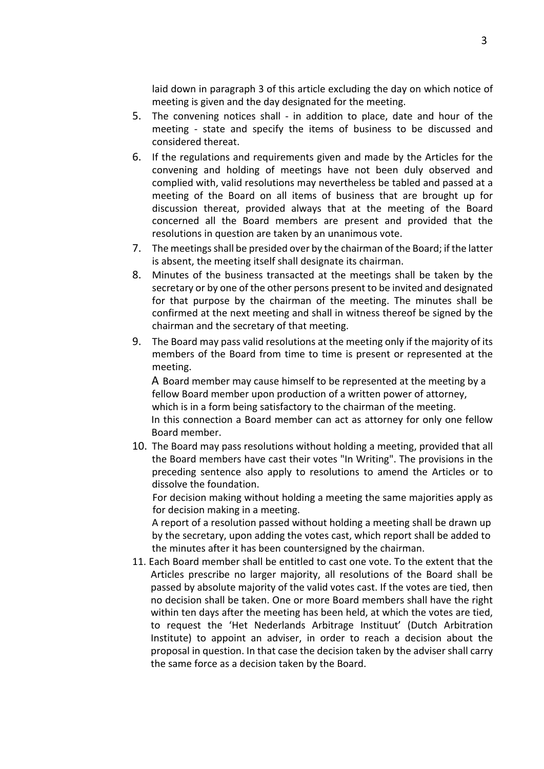laid down in paragraph 3 of this article excluding the day on which notice of meeting is given and the day designated for the meeting.

- 5. The convening notices shall in addition to place, date and hour of the meeting - state and specify the items of business to be discussed and considered thereat.
- 6. If the regulations and requirements given and made by the Articles for the convening and holding of meetings have not been duly observed and complied with, valid resolutions may nevertheless be tabled and passed at a meeting of the Board on all items of business that are brought up for discussion thereat, provided always that at the meeting of the Board concerned all the Board members are present and provided that the resolutions in question are taken by an unanimous vote.
- 7. The meetings shall be presided over by the chairman of the Board; if the latter is absent, the meeting itself shall designate its chairman.
- 8. Minutes of the business transacted at the meetings shall be taken by the secretary or by one of the other persons present to be invited and designated for that purpose by the chairman of the meeting. The minutes shall be confirmed at the next meeting and shall in witness thereof be signed by the chairman and the secretary of that meeting.
- 9. The Board may pass valid resolutions at the meeting only if the majority of its members of the Board from time to time is present or represented at the meeting.

A Board member may cause himself to be represented at the meeting by a fellow Board member upon production of a written power of attorney, which is in a form being satisfactory to the chairman of the meeting. In this connection a Board member can act as attorney for only one fellow Board member.

10. The Board may pass resolutions without holding a meeting, provided that all the Board members have cast their votes "In Writing". The provisions in the preceding sentence also apply to resolutions to amend the Articles or to dissolve the foundation.

For decision making without holding a meeting the same majorities apply as for decision making in a meeting.

A report of a resolution passed without holding a meeting shall be drawn up by the secretary, upon adding the votes cast, which report shall be added to the minutes after it has been countersigned by the chairman.

11. Each Board member shall be entitled to cast one vote. To the extent that the Articles prescribe no larger majority, all resolutions of the Board shall be passed by absolute majority of the valid votes cast. If the votes are tied, then no decision shall be taken. One or more Board members shall have the right within ten days after the meeting has been held, at which the votes are tied, to request the 'Het Nederlands Arbitrage Instituut' (Dutch Arbitration Institute) to appoint an adviser, in order to reach a decision about the proposal in question. In that case the decision taken by the adviser shall carry the same force as a decision taken by the Board.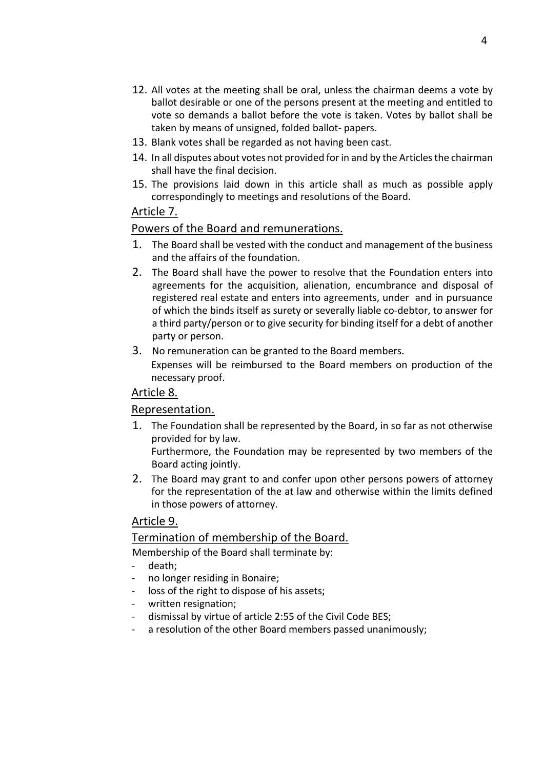- 12. All votes at the meeting shall be oral, unless the chairman deems a vote by ballot desirable or one of the persons present at the meeting and entitled to vote so demands a ballot before the vote is taken. Votes by ballot shall be taken by means of unsigned, folded ballot- papers.
- 13. Blank votes shall be regarded as not having been cast.
- 14. In all disputes about votes not provided for in and by the Articles the chairman shall have the final decision.
- 15. The provisions laid down in this article shall as much as possible apply correspondingly to meetings and resolutions of the Board.

## Article 7.

## Powers of the Board and remunerations.

- 1. The Board shall be vested with the conduct and management of the business and the affairs of the foundation.
- 2. The Board shall have the power to resolve that the Foundation enters into agreements for the acquisition, alienation, encumbrance and disposal of registered real estate and enters into agreements, under and in pursuance of which the binds itself as surety or severally liable co-debtor, to answer for a third party/person or to give security for binding itself for a debt of another party or person.
- 3. No remuneration can be granted to the Board members. Expenses will be reimbursed to the Board members on production of the necessary proof.

## Article 8.

## Representation.

1. The Foundation shall be represented by the Board, in so far as not otherwise provided for by law.

Furthermore, the Foundation may be represented by two members of the Board acting jointly.

2. The Board may grant to and confer upon other persons powers of attorney for the representation of the at law and otherwise within the limits defined in those powers of attorney.

## Article 9.

## Termination of membership of the Board.

Membership of the Board shall terminate by:

- death:
- no longer residing in Bonaire;
- loss of the right to dispose of his assets;
- written resignation;
- dismissal by virtue of article 2:55 of the Civil Code BES;
- a resolution of the other Board members passed unanimously;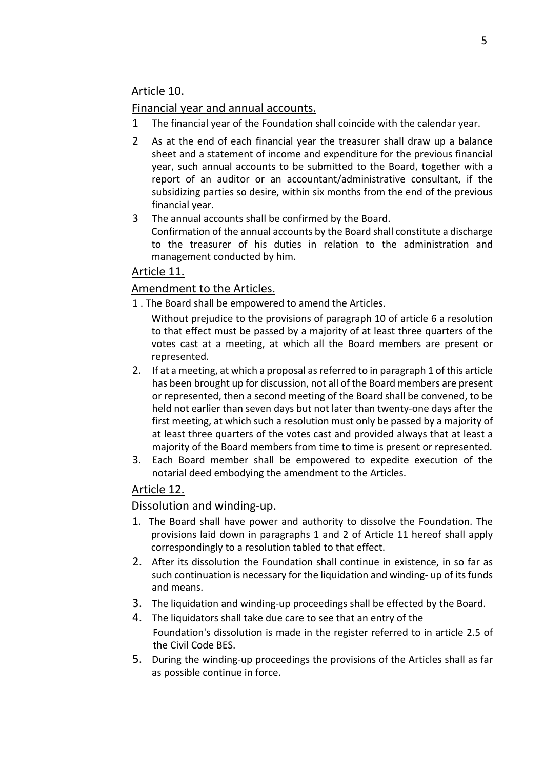# Article 10.

## Financial year and annual accounts.

- 1 The financial year of the Foundation shall coincide with the calendar year.
- 2 As at the end of each financial year the treasurer shall draw up a balance sheet and a statement of income and expenditure for the previous financial year, such annual accounts to be submitted to the Board, together with a report of an auditor or an accountant/administrative consultant, if the subsidizing parties so desire, within six months from the end of the previous financial year.
- 3 The annual accounts shall be confirmed by the Board. Confirmation of the annual accounts by the Board shall constitute a discharge to the treasurer of his duties in relation to the administration and management conducted by him.

# Article 11.

## Amendment to the Articles.

- 1 . The Board shall be empowered to amend the Articles.
	- Without prejudice to the provisions of paragraph 10 of article 6 a resolution to that effect must be passed by a majority of at least three quarters of the votes cast at a meeting, at which all the Board members are present or represented.
- 2. If at a meeting, at which a proposal as referred to in paragraph 1 of this article has been brought up for discussion, not all of the Board members are present or represented, then a second meeting of the Board shall be convened, to be held not earlier than seven days but not later than twenty-one days after the first meeting, at which such a resolution must only be passed by a majority of at least three quarters of the votes cast and provided always that at least a majority of the Board members from time to time is present or represented.
- 3. Each Board member shall be empowered to expedite execution of the notarial deed embodying the amendment to the Articles.

# Article 12.

## Dissolution and winding-up.

- 1. The Board shall have power and authority to dissolve the Foundation. The provisions laid down in paragraphs 1 and 2 of Article 11 hereof shall apply correspondingly to a resolution tabled to that effect.
- 2. After its dissolution the Foundation shall continue in existence, in so far as such continuation is necessary for the liquidation and winding- up of its funds and means.
- 3. The liquidation and winding-up proceedings shall be effected by the Board.
- 4. The liquidators shall take due care to see that an entry of the Foundation's dissolution is made in the register referred to in article 2.5 of the Civil Code BES.
- 5. During the winding-up proceedings the provisions of the Articles shall as far as possible continue in force.